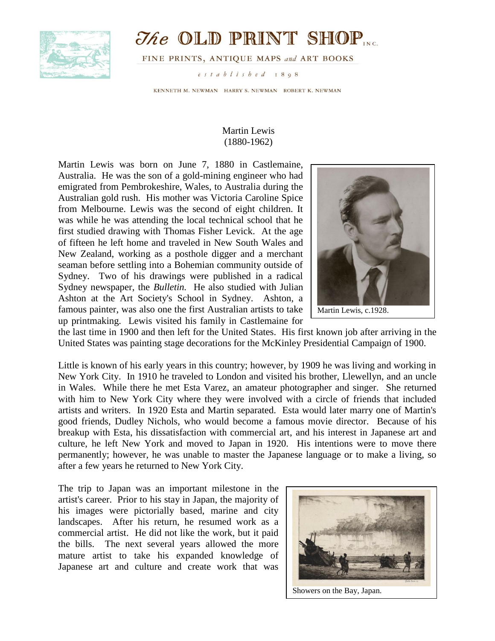

## $\mathcal{I}$ he OLD PRINT SHOP

FINE PRINTS, ANTIQUE MAPS and ART BOOKS

established 1898

KENNETH M. NEWMAN HARRY S. NEWMAN ROBERT K. NEWMAN

## Martin Lewis (1880-1962)

Martin Lewis was born on June 7, 1880 in Castlemaine, Australia. He was the son of a gold-mining engineer who had emigrated from Pembrokeshire, Wales, to Australia during the Australian gold rush. His mother was Victoria Caroline Spice from Melbourne. Lewis was the second of eight children. It was while he was attending the local technical school that he first studied drawing with Thomas Fisher Levick. At the age of fifteen he left home and traveled in New South Wales and New Zealand, working as a posthole digger and a merchant seaman before settling into a Bohemian community outside of Sydney. Two of his drawings were published in a radical Sydney newspaper, the *Bulletin.* He also studied with Julian Ashton at the Art Society's School in Sydney. Ashton, a famous painter, was also one the first Australian artists to take up printmaking. Lewis visited his family in Castlemaine for



the last time in 1900 and then left for the United States. His first known job after arriving in the United States was painting stage decorations for the McKinley Presidential Campaign of 1900.

Little is known of his early years in this country; however, by 1909 he was living and working in New York City. In 1910 he traveled to London and visited his brother, Llewellyn, and an uncle in Wales. While there he met Esta Varez, an amateur photographer and singer. She returned with him to New York City where they were involved with a circle of friends that included artists and writers. In 1920 Esta and Martin separated. Esta would later marry one of Martin's good friends, Dudley Nichols, who would become a famous movie director. Because of his breakup with Esta, his dissatisfaction with commercial art, and his interest in Japanese art and culture, he left New York and moved to Japan in 1920. His intentions were to move there permanently; however, he was unable to master the Japanese language or to make a living, so after a few years he returned to New York City.

The trip to Japan was an important milestone in the artist's career. Prior to his stay in Japan, the majority of his images were pictorially based, marine and city landscapes. After his return, he resumed work as a commercial artist. He did not like the work, but it paid the bills. The next several years allowed the more mature artist to take his expanded knowledge of Japanese art and culture and create work that was

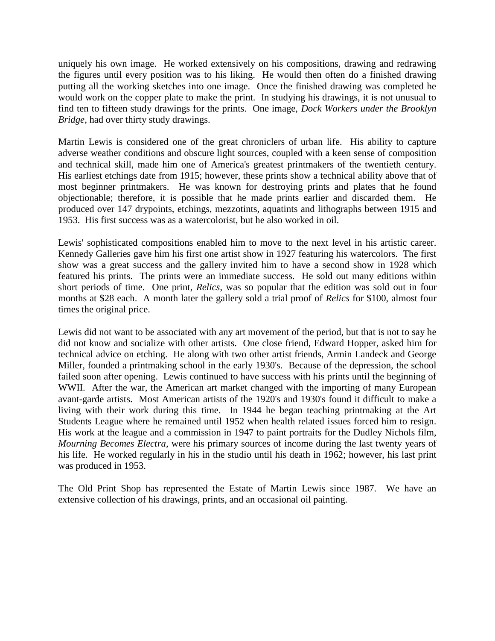uniquely his own image. He worked extensively on his compositions, drawing and redrawing the figures until every position was to his liking. He would then often do a finished drawing putting all the working sketches into one image. Once the finished drawing was completed he would work on the copper plate to make the print. In studying his drawings, it is not unusual to find ten to fifteen study drawings for the prints. One image, *Dock Workers under the Brooklyn Bridge,* had over thirty study drawings.

Martin Lewis is considered one of the great chroniclers of urban life. His ability to capture adverse weather conditions and obscure light sources, coupled with a keen sense of composition and technical skill, made him one of America's greatest printmakers of the twentieth century. His earliest etchings date from 1915; however, these prints show a technical ability above that of most beginner printmakers. He was known for destroying prints and plates that he found objectionable; therefore, it is possible that he made prints earlier and discarded them. He produced over 147 drypoints, etchings, mezzotints, aquatints and lithographs between 1915 and 1953. His first success was as a watercolorist, but he also worked in oil.

Lewis' sophisticated compositions enabled him to move to the next level in his artistic career. Kennedy Galleries gave him his first one artist show in 1927 featuring his watercolors. The first show was a great success and the gallery invited him to have a second show in 1928 which featured his prints. The prints were an immediate success. He sold out many editions within short periods of time. One print, *Relics*, was so popular that the edition was sold out in four months at \$28 each. A month later the gallery sold a trial proof of *Relics* for \$100, almost four times the original price.

Lewis did not want to be associated with any art movement of the period, but that is not to say he did not know and socialize with other artists. One close friend, Edward Hopper, asked him for technical advice on etching. He along with two other artist friends, Armin Landeck and George Miller, founded a printmaking school in the early 1930's. Because of the depression, the school failed soon after opening. Lewis continued to have success with his prints until the beginning of WWII. After the war, the American art market changed with the importing of many European avant-garde artists. Most American artists of the 1920's and 1930's found it difficult to make a living with their work during this time. In 1944 he began teaching printmaking at the Art Students League where he remained until 1952 when health related issues forced him to resign. His work at the league and a commission in 1947 to paint portraits for the Dudley Nichols film, *Mourning Becomes Electra,* were his primary sources of income during the last twenty years of his life. He worked regularly in his in the studio until his death in 1962; however, his last print was produced in 1953.

The Old Print Shop has represented the Estate of Martin Lewis since 1987. We have an extensive collection of his drawings, prints, and an occasional oil painting.